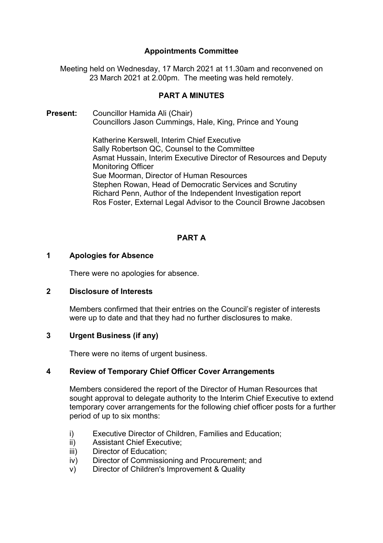# **Appointments Committee**

Meeting held on Wednesday, 17 March 2021 at 11.30am and reconvened on 23 March 2021 at 2.00pm. The meeting was held remotely.

# **PART A MINUTES**

**Present:** Councillor Hamida Ali (Chair) Councillors Jason Cummings, Hale, King, Prince and Young

> Katherine Kerswell, Interim Chief Executive Sally Robertson QC, Counsel to the Committee Asmat Hussain, Interim Executive Director of Resources and Deputy Monitoring Officer Sue Moorman, Director of Human Resources Stephen Rowan, Head of Democratic Services and Scrutiny Richard Penn, Author of the Independent Investigation report Ros Foster, External Legal Advisor to the Council Browne Jacobsen

# **PART A**

# **1 Apologies for Absence**

There were no apologies for absence.

# **2 Disclosure of Interests**

Members confirmed that their entries on the Council's register of interests were up to date and that they had no further disclosures to make.

# **3 Urgent Business (if any)**

There were no items of urgent business.

# **4 Review of Temporary Chief Officer Cover Arrangements**

Members considered the report of the Director of Human Resources that sought approval to delegate authority to the Interim Chief Executive to extend temporary cover arrangements for the following chief officer posts for a further period of up to six months:

- i) Executive Director of Children, Families and Education;
- ii) Assistant Chief Executive;
- iii) Director of Education;
- iv) Director of Commissioning and Procurement; and
- v) Director of Children's Improvement & Quality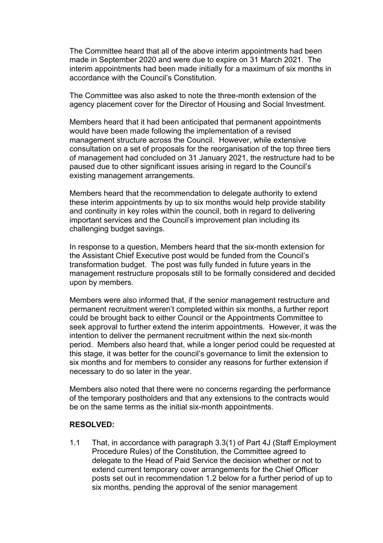The Committee heard that all of the above interim appointments had been made in September 2020 and were due to expire on 31 March 2021. The interim appointments had been made initially for a maximum of six months in accordance with the Council's Constitution.

The Committee was also asked to note the three-month extension of the agency placement cover for the Director of Housing and Social Investment.

Members heard that it had been anticipated that permanent appointments would have been made following the implementation of a revised management structure across the Council. However, while extensive consultation on a set of proposals for the reorganisation of the top three tiers of management had concluded on 31 January 2021, the restructure had to be paused due to other significant issues arising in regard to the Council's existing management arrangements.

Members heard that the recommendation to delegate authority to extend these interim appointments by up to six months would help provide stability and continuity in key roles within the council, both in regard to delivering important services and the Council's improvement plan including its challenging budget savings.

In response to a question, Members heard that the six-month extension for the Assistant Chief Executive post would be funded from the Council's transformation budget. The post was fully funded in future years in the management restructure proposals still to be formally considered and decided upon by members.

Members were also informed that, if the senior management restructure and permanent recruitment weren't completed within six months, a further report could be brought back to either Council or the Appointments Committee to seek approval to further extend the interim appointments. However, it was the intention to deliver the permanent recruitment within the next six-month period. Members also heard that, while a longer period could be requested at this stage, it was better for the council's governance to limit the extension to six months and for members to consider any reasons for further extension if necessary to do so later in the year.

Members also noted that there were no concerns regarding the performance of the temporary postholders and that any extensions to the contracts would be on the same terms as the initial six-month appointments.

# **RESOLVED:**

1.1 That, in accordance with paragraph 3.3(1) of Part 4J (Staff Employment Procedure Rules) of the Constitution, the Committee agreed to delegate to the Head of Paid Service the decision whether or not to extend current temporary cover arrangements for the Chief Officer posts set out in recommendation 1.2 below for a further period of up to six months, pending the approval of the senior management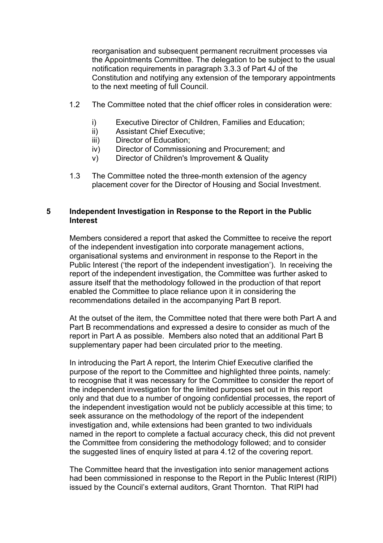reorganisation and subsequent permanent recruitment processes via the Appointments Committee. The delegation to be subject to the usual notification requirements in paragraph 3.3.3 of Part 4J of the Constitution and notifying any extension of the temporary appointments to the next meeting of full Council.

- 1.2 The Committee noted that the chief officer roles in consideration were:
	- i) Executive Director of Children, Families and Education;
	- ii) Assistant Chief Executive;
	- iii) Director of Education;
	- iv) Director of Commissioning and Procurement; and
	- v) Director of Children's Improvement & Quality
- 1.3 The Committee noted the three-month extension of the agency placement cover for the Director of Housing and Social Investment.

# **5 Independent Investigation in Response to the Report in the Public Interest**

Members considered a report that asked the Committee to receive the report of the independent investigation into corporate management actions, organisational systems and environment in response to the Report in the Public Interest ('the report of the independent investigation'). In receiving the report of the independent investigation, the Committee was further asked to assure itself that the methodology followed in the production of that report enabled the Committee to place reliance upon it in considering the recommendations detailed in the accompanying Part B report.

At the outset of the item, the Committee noted that there were both Part A and Part B recommendations and expressed a desire to consider as much of the report in Part A as possible. Members also noted that an additional Part B supplementary paper had been circulated prior to the meeting.

In introducing the Part A report, the Interim Chief Executive clarified the purpose of the report to the Committee and highlighted three points, namely: to recognise that it was necessary for the Committee to consider the report of the independent investigation for the limited purposes set out in this report only and that due to a number of ongoing confidential processes, the report of the independent investigation would not be publicly accessible at this time; to seek assurance on the methodology of the report of the independent investigation and, while extensions had been granted to two individuals named in the report to complete a factual accuracy check, this did not prevent the Committee from considering the methodology followed; and to consider the suggested lines of enquiry listed at para 4.12 of the covering report.

The Committee heard that the investigation into senior management actions had been commissioned in response to the Report in the Public Interest (RIPI) issued by the Council's external auditors, Grant Thornton. That RIPI had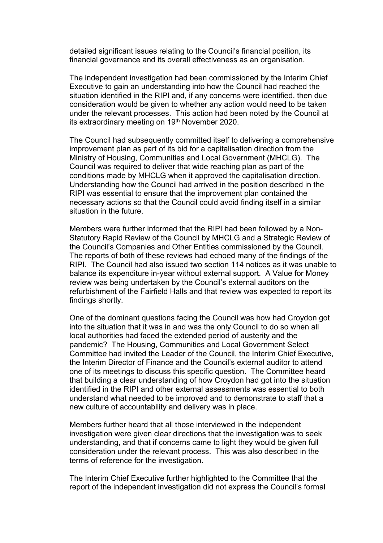detailed significant issues relating to the Council's financial position, its financial governance and its overall effectiveness as an organisation.

The independent investigation had been commissioned by the Interim Chief Executive to gain an understanding into how the Council had reached the situation identified in the RIPI and, if any concerns were identified, then due consideration would be given to whether any action would need to be taken under the relevant processes. This action had been noted by the Council at its extraordinary meeting on 19<sup>th</sup> November 2020.

The Council had subsequently committed itself to delivering a comprehensive improvement plan as part of its bid for a capitalisation direction from the Ministry of Housing, Communities and Local Government (MHCLG). The Council was required to deliver that wide reaching plan as part of the conditions made by MHCLG when it approved the capitalisation direction. Understanding how the Council had arrived in the position described in the RIPI was essential to ensure that the improvement plan contained the necessary actions so that the Council could avoid finding itself in a similar situation in the future.

Members were further informed that the RIPI had been followed by a Non-Statutory Rapid Review of the Council by MHCLG and a Strategic Review of the Council's Companies and Other Entities commissioned by the Council. The reports of both of these reviews had echoed many of the findings of the RIPI. The Council had also issued two section 114 notices as it was unable to balance its expenditure in-year without external support. A Value for Money review was being undertaken by the Council's external auditors on the refurbishment of the Fairfield Halls and that review was expected to report its findings shortly.

One of the dominant questions facing the Council was how had Croydon got into the situation that it was in and was the only Council to do so when all local authorities had faced the extended period of austerity and the pandemic? The Housing, Communities and Local Government Select Committee had invited the Leader of the Council, the Interim Chief Executive, the Interim Director of Finance and the Council's external auditor to attend one of its meetings to discuss this specific question. The Committee heard that building a clear understanding of how Croydon had got into the situation identified in the RIPI and other external assessments was essential to both understand what needed to be improved and to demonstrate to staff that a new culture of accountability and delivery was in place.

Members further heard that all those interviewed in the independent investigation were given clear directions that the investigation was to seek understanding, and that if concerns came to light they would be given full consideration under the relevant process. This was also described in the terms of reference for the investigation.

The Interim Chief Executive further highlighted to the Committee that the report of the independent investigation did not express the Council's formal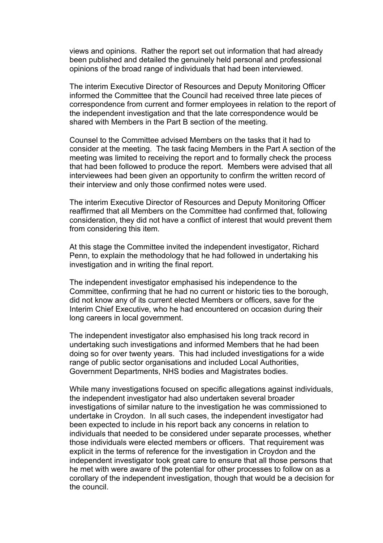views and opinions. Rather the report set out information that had already been published and detailed the genuinely held personal and professional opinions of the broad range of individuals that had been interviewed.

The interim Executive Director of Resources and Deputy Monitoring Officer informed the Committee that the Council had received three late pieces of correspondence from current and former employees in relation to the report of the independent investigation and that the late correspondence would be shared with Members in the Part B section of the meeting.

Counsel to the Committee advised Members on the tasks that it had to consider at the meeting. The task facing Members in the Part A section of the meeting was limited to receiving the report and to formally check the process that had been followed to produce the report. Members were advised that all interviewees had been given an opportunity to confirm the written record of their interview and only those confirmed notes were used.

The interim Executive Director of Resources and Deputy Monitoring Officer reaffirmed that all Members on the Committee had confirmed that, following consideration, they did not have a conflict of interest that would prevent them from considering this item.

At this stage the Committee invited the independent investigator, Richard Penn, to explain the methodology that he had followed in undertaking his investigation and in writing the final report.

The independent investigator emphasised his independence to the Committee, confirming that he had no current or historic ties to the borough, did not know any of its current elected Members or officers, save for the Interim Chief Executive, who he had encountered on occasion during their long careers in local government.

The independent investigator also emphasised his long track record in undertaking such investigations and informed Members that he had been doing so for over twenty years. This had included investigations for a wide range of public sector organisations and included Local Authorities, Government Departments, NHS bodies and Magistrates bodies.

While many investigations focused on specific allegations against individuals, the independent investigator had also undertaken several broader investigations of similar nature to the investigation he was commissioned to undertake in Croydon. In all such cases, the independent investigator had been expected to include in his report back any concerns in relation to individuals that needed to be considered under separate processes, whether those individuals were elected members or officers. That requirement was explicit in the terms of reference for the investigation in Croydon and the independent investigator took great care to ensure that all those persons that he met with were aware of the potential for other processes to follow on as a corollary of the independent investigation, though that would be a decision for the council.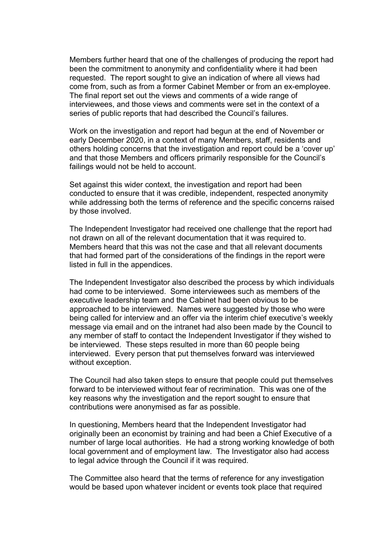Members further heard that one of the challenges of producing the report had been the commitment to anonymity and confidentiality where it had been requested. The report sought to give an indication of where all views had come from, such as from a former Cabinet Member or from an ex-employee. The final report set out the views and comments of a wide range of interviewees, and those views and comments were set in the context of a series of public reports that had described the Council's failures.

Work on the investigation and report had begun at the end of November or early December 2020, in a context of many Members, staff, residents and others holding concerns that the investigation and report could be a 'cover up' and that those Members and officers primarily responsible for the Council's failings would not be held to account.

Set against this wider context, the investigation and report had been conducted to ensure that it was credible, independent, respected anonymity while addressing both the terms of reference and the specific concerns raised by those involved.

The Independent Investigator had received one challenge that the report had not drawn on all of the relevant documentation that it was required to. Members heard that this was not the case and that all relevant documents that had formed part of the considerations of the findings in the report were listed in full in the appendices.

The Independent Investigator also described the process by which individuals had come to be interviewed. Some interviewees such as members of the executive leadership team and the Cabinet had been obvious to be approached to be interviewed. Names were suggested by those who were being called for interview and an offer via the interim chief executive's weekly message via email and on the intranet had also been made by the Council to any member of staff to contact the Independent Investigator if they wished to be interviewed. These steps resulted in more than 60 people being interviewed. Every person that put themselves forward was interviewed without exception.

The Council had also taken steps to ensure that people could put themselves forward to be interviewed without fear of recrimination. This was one of the key reasons why the investigation and the report sought to ensure that contributions were anonymised as far as possible.

In questioning, Members heard that the Independent Investigator had originally been an economist by training and had been a Chief Executive of a number of large local authorities. He had a strong working knowledge of both local government and of employment law. The Investigator also had access to legal advice through the Council if it was required.

The Committee also heard that the terms of reference for any investigation would be based upon whatever incident or events took place that required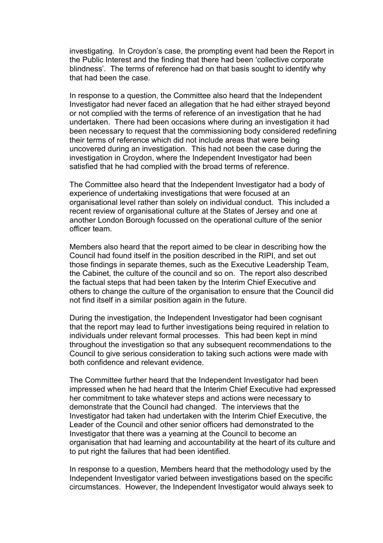investigating. In Croydon's case, the prompting event had been the Report in the Public Interest and the finding that there had been 'collective corporate blindness'. The terms of reference had on that basis sought to identify why that had been the case.

In response to a question, the Committee also heard that the Independent Investigator had never faced an allegation that he had either strayed beyond or not complied with the terms of reference of an investigation that he had undertaken. There had been occasions where during an investigation it had been necessary to request that the commissioning body considered redefining their terms of reference which did not include areas that were being uncovered during an investigation. This had not been the case during the investigation in Croydon, where the Independent Investigator had been satisfied that he had complied with the broad terms of reference.

The Committee also heard that the Independent Investigator had a body of experience of undertaking investigations that were focused at an organisational level rather than solely on individual conduct. This included a recent review of organisational culture at the States of Jersey and one at another London Borough focussed on the operational culture of the senior officer team.

Members also heard that the report aimed to be clear in describing how the Council had found itself in the position described in the RIPI, and set out those findings in separate themes, such as the Executive Leadership Team, the Cabinet, the culture of the council and so on. The report also described the factual steps that had been taken by the Interim Chief Executive and others to change the culture of the organisation to ensure that the Council did not find itself in a similar position again in the future.

During the investigation, the Independent Investigator had been cognisant that the report may lead to further investigations being required in relation to individuals under relevant formal processes. This had been kept in mind throughout the investigation so that any subsequent recommendations to the Council to give serious consideration to taking such actions were made with both confidence and relevant evidence.

The Committee further heard that the Independent Investigator had been impressed when he had heard that the Interim Chief Executive had expressed her commitment to take whatever steps and actions were necessary to demonstrate that the Council had changed. The interviews that the Investigator had taken had undertaken with the Interim Chief Executive, the Leader of the Council and other senior officers had demonstrated to the Investigator that there was a yearning at the Council to become an organisation that had learning and accountability at the heart of its culture and to put right the failures that had been identified.

In response to a question, Members heard that the methodology used by the Independent Investigator varied between investigations based on the specific circumstances. However, the Independent Investigator would always seek to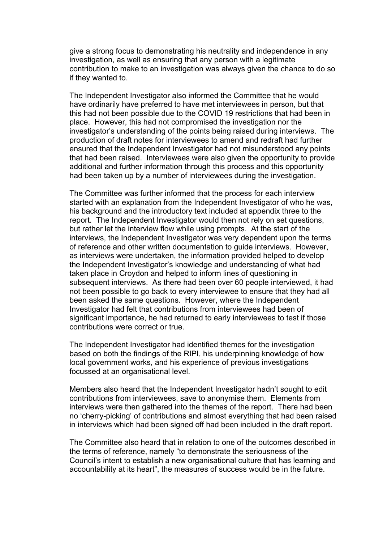give a strong focus to demonstrating his neutrality and independence in any investigation, as well as ensuring that any person with a legitimate contribution to make to an investigation was always given the chance to do so if they wanted to.

The Independent Investigator also informed the Committee that he would have ordinarily have preferred to have met interviewees in person, but that this had not been possible due to the COVID 19 restrictions that had been in place. However, this had not compromised the investigation nor the investigator's understanding of the points being raised during interviews. The production of draft notes for interviewees to amend and redraft had further ensured that the Independent Investigator had not misunderstood any points that had been raised. Interviewees were also given the opportunity to provide additional and further information through this process and this opportunity had been taken up by a number of interviewees during the investigation.

The Committee was further informed that the process for each interview started with an explanation from the Independent Investigator of who he was, his background and the introductory text included at appendix three to the report. The Independent Investigator would then not rely on set questions, but rather let the interview flow while using prompts. At the start of the interviews, the Independent Investigator was very dependent upon the terms of reference and other written documentation to guide interviews. However, as interviews were undertaken, the information provided helped to develop the Independent Investigator's knowledge and understanding of what had taken place in Croydon and helped to inform lines of questioning in subsequent interviews. As there had been over 60 people interviewed, it had not been possible to go back to every interviewee to ensure that they had all been asked the same questions. However, where the Independent Investigator had felt that contributions from interviewees had been of significant importance, he had returned to early interviewees to test if those contributions were correct or true.

The Independent Investigator had identified themes for the investigation based on both the findings of the RIPI, his underpinning knowledge of how local government works, and his experience of previous investigations focussed at an organisational level.

Members also heard that the Independent Investigator hadn't sought to edit contributions from interviewees, save to anonymise them. Elements from interviews were then gathered into the themes of the report. There had been no 'cherry-picking' of contributions and almost everything that had been raised in interviews which had been signed off had been included in the draft report.

The Committee also heard that in relation to one of the outcomes described in the terms of reference, namely "to demonstrate the seriousness of the Council's intent to establish a new organisational culture that has learning and accountability at its heart", the measures of success would be in the future.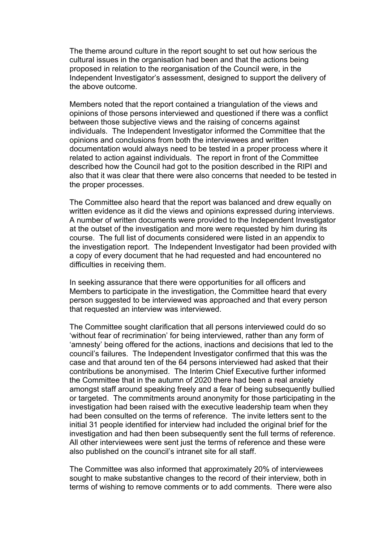The theme around culture in the report sought to set out how serious the cultural issues in the organisation had been and that the actions being proposed in relation to the reorganisation of the Council were, in the Independent Investigator's assessment, designed to support the delivery of the above outcome.

Members noted that the report contained a triangulation of the views and opinions of those persons interviewed and questioned if there was a conflict between those subjective views and the raising of concerns against individuals. The Independent Investigator informed the Committee that the opinions and conclusions from both the interviewees and written documentation would always need to be tested in a proper process where it related to action against individuals. The report in front of the Committee described how the Council had got to the position described in the RIPI and also that it was clear that there were also concerns that needed to be tested in the proper processes.

The Committee also heard that the report was balanced and drew equally on written evidence as it did the views and opinions expressed during interviews. A number of written documents were provided to the Independent Investigator at the outset of the investigation and more were requested by him during its course. The full list of documents considered were listed in an appendix to the investigation report. The Independent Investigator had been provided with a copy of every document that he had requested and had encountered no difficulties in receiving them.

In seeking assurance that there were opportunities for all officers and Members to participate in the investigation, the Committee heard that every person suggested to be interviewed was approached and that every person that requested an interview was interviewed.

The Committee sought clarification that all persons interviewed could do so 'without fear of recrimination' for being interviewed, rather than any form of 'amnesty' being offered for the actions, inactions and decisions that led to the council's failures. The Independent Investigator confirmed that this was the case and that around ten of the 64 persons interviewed had asked that their contributions be anonymised. The Interim Chief Executive further informed the Committee that in the autumn of 2020 there had been a real anxiety amongst staff around speaking freely and a fear of being subsequently bullied or targeted. The commitments around anonymity for those participating in the investigation had been raised with the executive leadership team when they had been consulted on the terms of reference. The invite letters sent to the initial 31 people identified for interview had included the original brief for the investigation and had then been subsequently sent the full terms of reference. All other interviewees were sent just the terms of reference and these were also published on the council's intranet site for all staff.

The Committee was also informed that approximately 20% of interviewees sought to make substantive changes to the record of their interview, both in terms of wishing to remove comments or to add comments. There were also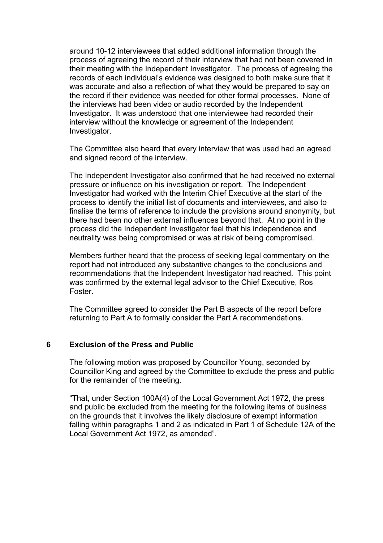around 10-12 interviewees that added additional information through the process of agreeing the record of their interview that had not been covered in their meeting with the Independent Investigator. The process of agreeing the records of each individual's evidence was designed to both make sure that it was accurate and also a reflection of what they would be prepared to say on the record if their evidence was needed for other formal processes. None of the interviews had been video or audio recorded by the Independent Investigator. It was understood that one interviewee had recorded their interview without the knowledge or agreement of the Independent Investigator.

The Committee also heard that every interview that was used had an agreed and signed record of the interview.

The Independent Investigator also confirmed that he had received no external pressure or influence on his investigation or report. The Independent Investigator had worked with the Interim Chief Executive at the start of the process to identify the initial list of documents and interviewees, and also to finalise the terms of reference to include the provisions around anonymity, but there had been no other external influences beyond that. At no point in the process did the Independent Investigator feel that his independence and neutrality was being compromised or was at risk of being compromised.

Members further heard that the process of seeking legal commentary on the report had not introduced any substantive changes to the conclusions and recommendations that the Independent Investigator had reached. This point was confirmed by the external legal advisor to the Chief Executive, Ros Foster.

The Committee agreed to consider the Part B aspects of the report before returning to Part A to formally consider the Part A recommendations.

#### **6 Exclusion of the Press and Public**

The following motion was proposed by Councillor Young, seconded by Councillor King and agreed by the Committee to exclude the press and public for the remainder of the meeting.

"That, under Section 100A(4) of the Local Government Act 1972, the press and public be excluded from the meeting for the following items of business on the grounds that it involves the likely disclosure of exempt information falling within paragraphs 1 and 2 as indicated in Part 1 of Schedule 12A of the Local Government Act 1972, as amended".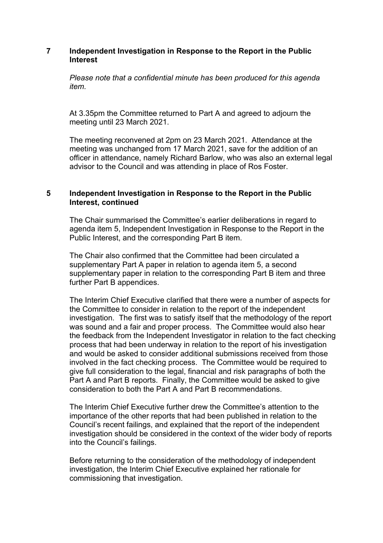### **7 Independent Investigation in Response to the Report in the Public Interest**

*Please note that a confidential minute has been produced for this agenda item.*

At 3.35pm the Committee returned to Part A and agreed to adjourn the meeting until 23 March 2021.

The meeting reconvened at 2pm on 23 March 2021. Attendance at the meeting was unchanged from 17 March 2021, save for the addition of an officer in attendance, namely Richard Barlow, who was also an external legal advisor to the Council and was attending in place of Ros Foster.

# **5 Independent Investigation in Response to the Report in the Public Interest, continued**

The Chair summarised the Committee's earlier deliberations in regard to agenda item 5, Independent Investigation in Response to the Report in the Public Interest, and the corresponding Part B item.

The Chair also confirmed that the Committee had been circulated a supplementary Part A paper in relation to agenda item 5, a second supplementary paper in relation to the corresponding Part B item and three further Part B appendices.

The Interim Chief Executive clarified that there were a number of aspects for the Committee to consider in relation to the report of the independent investigation. The first was to satisfy itself that the methodology of the report was sound and a fair and proper process. The Committee would also hear the feedback from the Independent Investigator in relation to the fact checking process that had been underway in relation to the report of his investigation and would be asked to consider additional submissions received from those involved in the fact checking process. The Committee would be required to give full consideration to the legal, financial and risk paragraphs of both the Part A and Part B reports. Finally, the Committee would be asked to give consideration to both the Part A and Part B recommendations.

The Interim Chief Executive further drew the Committee's attention to the importance of the other reports that had been published in relation to the Council's recent failings, and explained that the report of the independent investigation should be considered in the context of the wider body of reports into the Council's failings.

Before returning to the consideration of the methodology of independent investigation, the Interim Chief Executive explained her rationale for commissioning that investigation.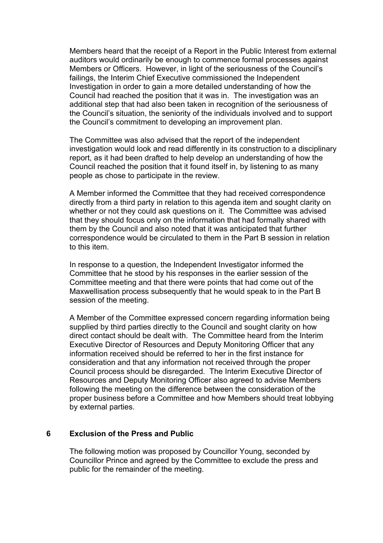Members heard that the receipt of a Report in the Public Interest from external auditors would ordinarily be enough to commence formal processes against Members or Officers. However, in light of the seriousness of the Council's failings, the Interim Chief Executive commissioned the Independent Investigation in order to gain a more detailed understanding of how the Council had reached the position that it was in. The investigation was an additional step that had also been taken in recognition of the seriousness of the Council's situation, the seniority of the individuals involved and to support the Council's commitment to developing an improvement plan.

The Committee was also advised that the report of the independent investigation would look and read differently in its construction to a disciplinary report, as it had been drafted to help develop an understanding of how the Council reached the position that it found itself in, by listening to as many people as chose to participate in the review.

A Member informed the Committee that they had received correspondence directly from a third party in relation to this agenda item and sought clarity on whether or not they could ask questions on it. The Committee was advised that they should focus only on the information that had formally shared with them by the Council and also noted that it was anticipated that further correspondence would be circulated to them in the Part B session in relation to this item.

In response to a question, the Independent Investigator informed the Committee that he stood by his responses in the earlier session of the Committee meeting and that there were points that had come out of the Maxwellisation process subsequently that he would speak to in the Part B session of the meeting.

A Member of the Committee expressed concern regarding information being supplied by third parties directly to the Council and sought clarity on how direct contact should be dealt with. The Committee heard from the Interim Executive Director of Resources and Deputy Monitoring Officer that any information received should be referred to her in the first instance for consideration and that any information not received through the proper Council process should be disregarded. The Interim Executive Director of Resources and Deputy Monitoring Officer also agreed to advise Members following the meeting on the difference between the consideration of the proper business before a Committee and how Members should treat lobbying by external parties.

#### **6 Exclusion of the Press and Public**

The following motion was proposed by Councillor Young, seconded by Councillor Prince and agreed by the Committee to exclude the press and public for the remainder of the meeting.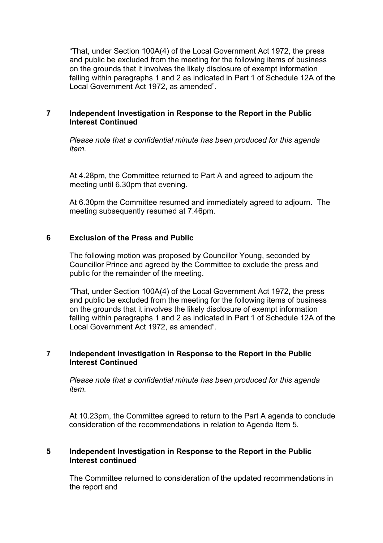"That, under Section 100A(4) of the Local Government Act 1972, the press and public be excluded from the meeting for the following items of business on the grounds that it involves the likely disclosure of exempt information falling within paragraphs 1 and 2 as indicated in Part 1 of Schedule 12A of the Local Government Act 1972, as amended".

# **7 Independent Investigation in Response to the Report in the Public Interest Continued**

*Please note that a confidential minute has been produced for this agenda item.*

At 4.28pm, the Committee returned to Part A and agreed to adjourn the meeting until 6.30pm that evening.

At 6.30pm the Committee resumed and immediately agreed to adjourn. The meeting subsequently resumed at 7.46pm.

# **6 Exclusion of the Press and Public**

The following motion was proposed by Councillor Young, seconded by Councillor Prince and agreed by the Committee to exclude the press and public for the remainder of the meeting.

"That, under Section 100A(4) of the Local Government Act 1972, the press and public be excluded from the meeting for the following items of business on the grounds that it involves the likely disclosure of exempt information falling within paragraphs 1 and 2 as indicated in Part 1 of Schedule 12A of the Local Government Act 1972, as amended".

# **7 Independent Investigation in Response to the Report in the Public Interest Continued**

*Please note that a confidential minute has been produced for this agenda item.*

At 10.23pm, the Committee agreed to return to the Part A agenda to conclude consideration of the recommendations in relation to Agenda Item 5.

# **5 Independent Investigation in Response to the Report in the Public Interest continued**

The Committee returned to consideration of the updated recommendations in the report and